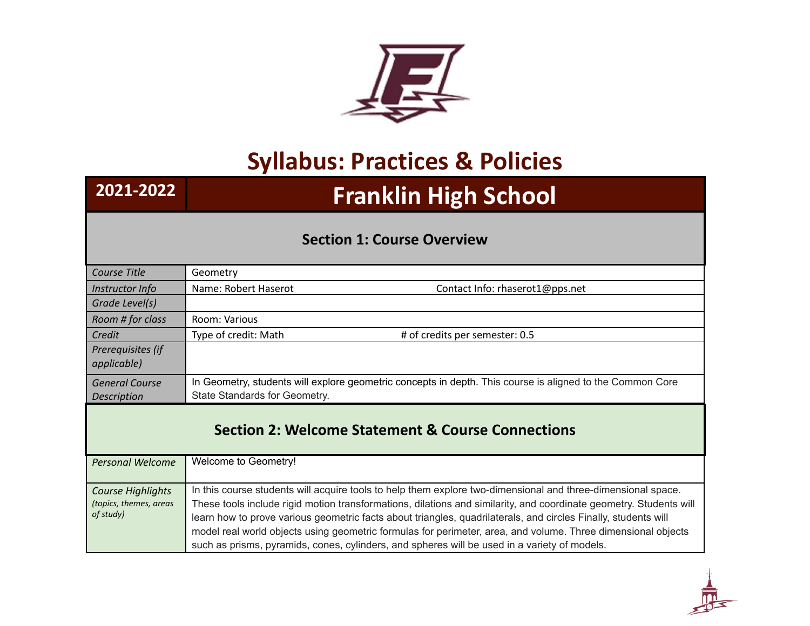

## **Syllabus: Practices & Policies**

# **2021-2022 Franklin High School**

### **Section 1: Course Overview**

| Course Title                                                 | Geometry                                                                                                                                                                                                     |
|--------------------------------------------------------------|--------------------------------------------------------------------------------------------------------------------------------------------------------------------------------------------------------------|
| Instructor Info                                              | Name: Robert Haserot<br>Contact Info: rhaserot1@pps.net                                                                                                                                                      |
| Grade Level(s)                                               |                                                                                                                                                                                                              |
| Room # for class                                             | Room: Various                                                                                                                                                                                                |
| Credit                                                       | # of credits per semester: 0.5<br>Type of credit: Math                                                                                                                                                       |
| Prerequisites (if<br>applicable)                             |                                                                                                                                                                                                              |
| <b>General Course</b>                                        | In Geometry, students will explore geometric concepts in depth. This course is aligned to the Common Core                                                                                                    |
| Description                                                  | State Standards for Geometry.                                                                                                                                                                                |
| <b>Section 2: Welcome Statement &amp; Course Connections</b> |                                                                                                                                                                                                              |
| <b>Personal Welcome</b>                                      | Welcome to Geometry!                                                                                                                                                                                         |
|                                                              |                                                                                                                                                                                                              |
| <b>Course Highlights</b>                                     | In this course students will acquire tools to help them explore two-dimensional and three-dimensional space.                                                                                                 |
| (topics, themes, areas                                       | These tools include rigid motion transformations, dilations and similarity, and coordinate geometry. Students will                                                                                           |
| of study)                                                    | learn how to prove various geometric facts about triangles, quadrilaterals, and circles Finally, students will                                                                                               |
|                                                              | model real world objects using geometric formulas for perimeter, area, and volume. Three dimensional objects<br>such as prisms, pyramids, cones, cylinders, and spheres will be used in a variety of models. |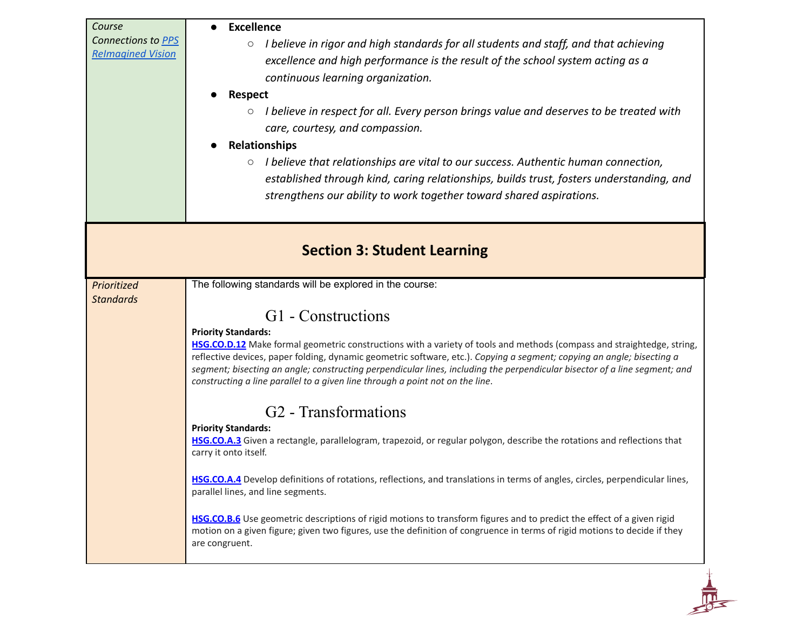| Course<br>Connections to PPS<br><b>Relmagined Vision</b> | <b>Excellence</b><br>I believe in rigor and high standards for all students and staff, and that achieving<br>$\circ$<br>excellence and high performance is the result of the school system acting as a<br>continuous learning organization.<br><b>Respect</b><br>$\circ$ I believe in respect for all. Every person brings value and deserves to be treated with<br>care, courtesy, and compassion.<br><b>Relationships</b><br>$\circ$ I believe that relationships are vital to our success. Authentic human connection,<br>established through kind, caring relationships, builds trust, fosters understanding, and<br>strengthens our ability to work together toward shared aspirations. |
|----------------------------------------------------------|----------------------------------------------------------------------------------------------------------------------------------------------------------------------------------------------------------------------------------------------------------------------------------------------------------------------------------------------------------------------------------------------------------------------------------------------------------------------------------------------------------------------------------------------------------------------------------------------------------------------------------------------------------------------------------------------|
|                                                          | <b>Section 3: Student Learning</b>                                                                                                                                                                                                                                                                                                                                                                                                                                                                                                                                                                                                                                                           |
| Prioritized<br><b>Standards</b>                          | The following standards will be explored in the course:<br>G1 - Constructions                                                                                                                                                                                                                                                                                                                                                                                                                                                                                                                                                                                                                |
|                                                          | <b>Priority Standards:</b><br>HSG.CO.D.12 Make formal geometric constructions with a variety of tools and methods (compass and straightedge, string,<br>reflective devices, paper folding, dynamic geometric software, etc.). Copying a segment; copying an angle; bisecting a<br>segment; bisecting an angle; constructing perpendicular lines, including the perpendicular bisector of a line segment; and<br>constructing a line parallel to a given line through a point not on the line.                                                                                                                                                                                                |
|                                                          | G <sub>2</sub> - Transformations                                                                                                                                                                                                                                                                                                                                                                                                                                                                                                                                                                                                                                                             |
|                                                          | <b>Priority Standards:</b><br>HSG.CO.A.3 Given a rectangle, parallelogram, trapezoid, or regular polygon, describe the rotations and reflections that<br>carry it onto itself.                                                                                                                                                                                                                                                                                                                                                                                                                                                                                                               |
|                                                          | HSG.CO.A.4 Develop definitions of rotations, reflections, and translations in terms of angles, circles, perpendicular lines,<br>parallel lines, and line segments.                                                                                                                                                                                                                                                                                                                                                                                                                                                                                                                           |
|                                                          | HSG.CO.B.6 Use geometric descriptions of rigid motions to transform figures and to predict the effect of a given rigid<br>motion on a given figure; given two figures, use the definition of congruence in terms of rigid motions to decide if they<br>are congruent.                                                                                                                                                                                                                                                                                                                                                                                                                        |
|                                                          |                                                                                                                                                                                                                                                                                                                                                                                                                                                                                                                                                                                                                                                                                              |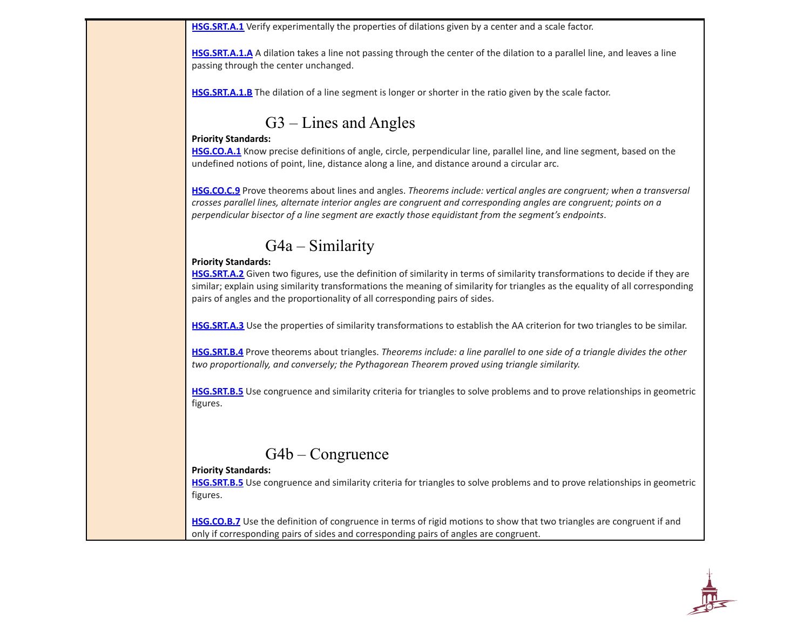**[HSG.SRT.A.1](http://www.corestandards.org/Math/Content/HSG/SRT/A/1/)** Verify experimentally the properties of dilations given by a center and a scale factor.

**[HSG.SRT.A.1.A](http://www.corestandards.org/Math/Content/HSG/SRT/A/1/a/)** A dilation takes a line not passing through the center of the dilation to a parallel line, and leaves a line passing through the center unchanged.

**[HSG.SRT.A.1.B](http://www.corestandards.org/Math/Content/HSG/SRT/A/1/b/)** The dilation of a line segment is longer or shorter in the ratio given by the scale factor.

### G3 – Lines and Angles

#### **Priority Standards:**

**[HSG.CO.A.1](http://www.corestandards.org/Math/Content/HSG/CO/#CCSS.Math.Content.HSG.CO.A.1)** Know precise definitions of angle, circle, perpendicular line, parallel line, and line segment, based on the undefined notions of point, line, distance along a line, and distance around a circular arc.

**[HSG.CO.C.9](http://www.corestandards.org/Math/Content/HSG/CO/C/9/)** Prove theorems about lines and angles. *Theorems include: vertical angles are congruent; when a transversal* crosses parallel lines, alternate interior angles are congruent and corresponding angles are congruent; points on a *perpendicular bisector of a line segment are exactly those equidistant from the segment's endpoints*.

### G4a – Similarity

### **Priority Standards:**

**[HSG.SRT.A.2](http://www.corestandards.org/Math/Content/HSG/SRT/#CCSS.Math.Content.HSG.SRT.A.2)** Given two figures, use the definition of similarity in terms of similarity transformations to decide if they are similar; explain using similarity transformations the meaning of similarity for triangles as the equality of all corresponding pairs of angles and the proportionality of all corresponding pairs of sides.

**[HSG.SRT.A.3](http://www.corestandards.org/Math/Content/HSG/SRT/#CCSS.Math.Content.HSG.SRT.A.3)** Use the properties of similarity transformations to establish the AA criterion for two triangles to be similar.

[HSG.SRT.B.4](http://www.corestandards.org/Math/Content/HSG/SRT/#CCSS.Math.Content.HSG.SRT.B.4) Prove theorems about triangles. Theorems include: a line parallel to one side of a triangle divides the other *two proportionally, and conversely; the Pythagorean Theorem proved using triangle similarity.*

**[HSG.SRT.B.5](http://www.corestandards.org/Math/Content/HSG/SRT/#CCSS.Math.Content.HSG.SRT.B.5)** Use congruence and similarity criteria for triangles to solve problems and to prove relationships in geometric figures.

### G4b – Congruence

### **Priority Standards:**

**[HSG.SRT.B.5](http://www.corestandards.org/Math/Content/HSG/SRT/#CCSS.Math.Content.HSG.SRT.B.5)** Use congruence and similarity criteria for triangles to solve problems and to prove relationships in geometric figures.

**[HSG.CO.B.7](http://www.corestandards.org/Math/Content/HSG/CO/#CCSS.Math.Content.HSG.CO.B.7)** Use the definition of congruence in terms of rigid motions to show that two triangles are congruent if and only if corresponding pairs of sides and corresponding pairs of angles are congruent.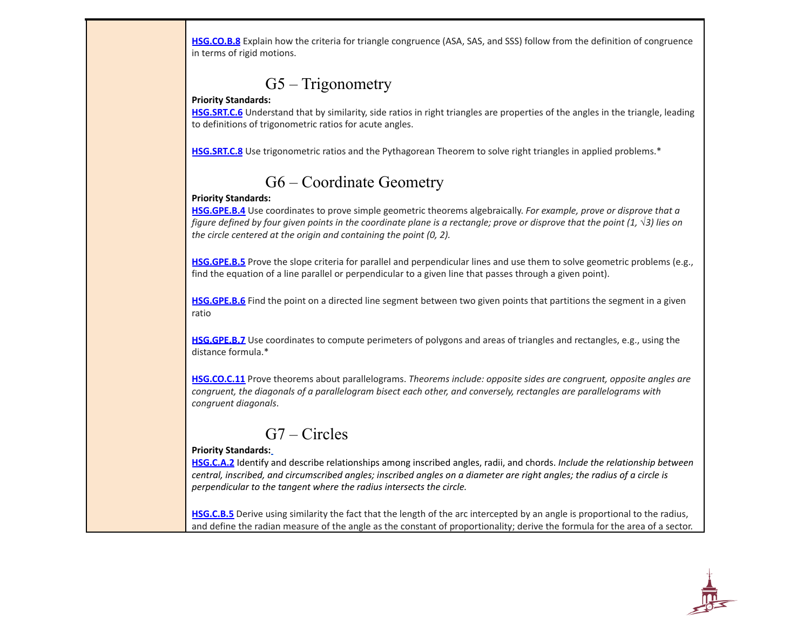**[HSG.CO.B.8](http://www.corestandards.org/Math/Content/HSG/CO/#CCSS.Math.Content.HSG.CO.B.8)** Explain how the criteria for triangle congruence (ASA, SAS, and SSS) follow from the definition of congruence in terms of rigid motions.

### G5 – Trigonometry

#### **Priority Standards:**

**[HSG.SRT.C.6](http://www.corestandards.org/Math/Content/HSG/SRT/#CCSS.Math.Content.HSG.SRT.C.6)** Understand that by similarity, side ratios in right triangles are properties of the angles in the triangle, leading to definitions of trigonometric ratios for acute angles.

**[HSG.SRT.C.8](http://www.corestandards.org/Math/Content/HSG/SRT/#CCSS.Math.Content.HSG.SRT.C.8)** Use trigonometric ratios and the Pythagorean Theorem to solve right triangles in applied problems.\*

## G6 – Coordinate Geometry

### **Priority Standards:**

**[HSG.GPE.B.4](http://www.corestandards.org/Math/Content/HSG/GPE/#CCSS.Math.Content.HSG.GPE.B.4)** Use coordinates to prove simple geometric theorems algebraically. *For example, prove or disprove that a* figure defined by four given points in the coordinate plane is a rectangle; prove or disprove that the point  $(1, \sqrt{3})$  lies on *the circle centered at the origin and containing the point (0, 2).*

**[HSG.GPE.B.5](http://www.corestandards.org/Math/Content/HSG/GPE/#CCSS.Math.Content.HSG.GPE.B.5)** Prove the slope criteria for parallel and perpendicular lines and use them to solve geometric problems (e.g., find the equation of a line parallel or perpendicular to a given line that passes through a given point).

**[HSG.GPE.B.6](http://www.corestandards.org/Math/Content/HSG/GPE/#CCSS.Math.Content.HSG.GPE.B.6)** Find the point on a directed line segment between two given points that partitions the segment in a given ratio

**[HSG.GPE.B.7](http://www.corestandards.org/Math/Content/HSG/GPE/#CCSS.Math.Content.HSG.GPE.B.7)** Use coordinates to compute perimeters of polygons and areas of triangles and rectangles, e.g., using the distance formula.\*

**[HSG.CO.C.11](http://www.corestandards.org/Math/Content/HSG/CO/#CCSS.Math.Content.HSG.CO.C.11)** Prove theorems about parallelograms. *Theorems include: opposite sides are congruent, opposite angles are congruent, the diagonals of a parallelogram bisect each other, and conversely, rectangles are parallelograms with congruent diagonals*.

### G7 – Circles

### **Priority Standards:**

**[HSG.C.A.2](http://www.corestandards.org/Math/Content/HSG/C/A/2/)** Identify and describe relationships among inscribed angles, radii, and chords. *Include the relationship between* central, inscribed, and circumscribed angles; inscribed angles on a diameter are right angles; the radius of a circle is *perpendicular to the tangent where the radius intersects the circle.*

**[HSG.C.B.5](http://www.corestandards.org/Math/Content/HSG/C/#CCSS.Math.Content.HSG.C.B.5)** Derive using similarity the fact that the length of the arc intercepted by an angle is proportional to the radius, and define the radian measure of the angle as the constant of proportionality; derive the formula for the area of a sector.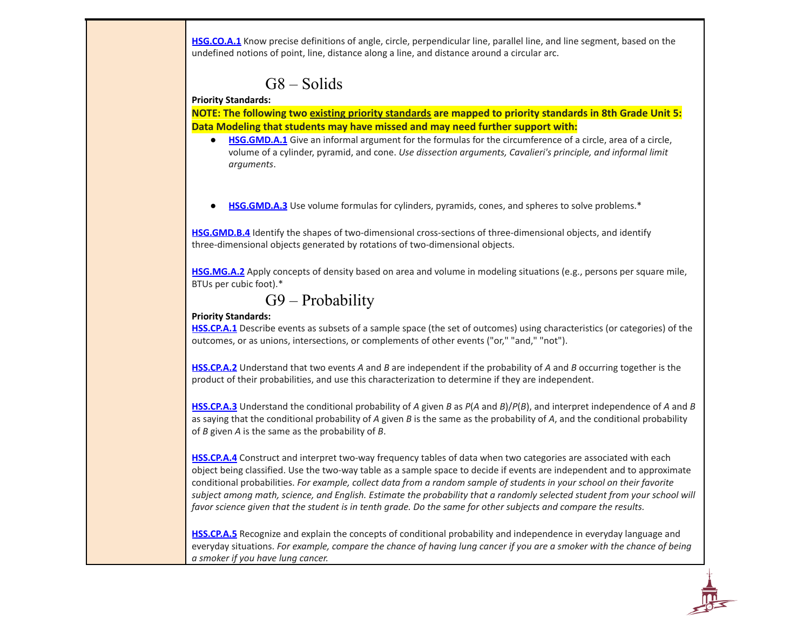**[HSG.CO.A.1](http://www.corestandards.org/Math/Content/HSG/CO/#CCSS.Math.Content.HSG.CO.A.1)** Know precise definitions of angle, circle, perpendicular line, parallel line, and line segment, based on the undefined notions of point, line, distance along a line, and distance around a circular arc.

### G8 – Solids

#### **Priority Standards:**

**NOTE: The following two existing priority standards are mapped to priority standards in 8th Grade Unit 5: Data Modeling that students may have missed and may need further support with:**

- **[HSG.GMD.A.1](http://www.corestandards.org/Math/Content/HSG/GMD/#CCSS.Math.Content.HSG.GMD.A.1)** Give an informal argument for the formulas for the circumference of a circle, area of a circle, volume of a cylinder, pyramid, and cone. *Use dissection arguments, Cavalieri's principle, and informal limit arguments*.
- **[HSG.GMD.A.3](http://www.corestandards.org/Math/Content/HSG/GMD/#CCSS.Math.Content.HSG.GMD.A.3)** Use volume formulas for cylinders, pyramids, cones, and spheres to solve problems.<sup>\*</sup>

**[HSG.GMD.B.4](http://www.corestandards.org/Math/Content/HSG/GMD/#CCSS.Math.Content.HSG.GMD.B.4)** Identify the shapes of two-dimensional cross-sections of three-dimensional objects, and identify three-dimensional objects generated by rotations of two-dimensional objects.

**[HSG.MG.A.2](http://www.corestandards.org/Math/Content/HSG/MG/A/2/)** Apply concepts of density based on area and volume in modeling situations (e.g., persons per square mile, BTUs per cubic foot).\*

```
G9 – Probability
```
#### **Priority Standards:**

**[HSS.CP.A.1](http://www.corestandards.org/Math/Content/HSS/CP/#CCSS.Math.Content.HSS.CP.A.1)** Describe events as subsets of a sample space (the set of outcomes) using characteristics (or categories) of the outcomes, or as unions, intersections, or complements of other events ("or," "and," "not").

**[HSS.CP.A.2](http://www.corestandards.org/Math/Content/HSS/CP/#CCSS.Math.Content.HSS.CP.A.2)** Understand that two events *A* and *B* are independent if the probability of *A* and *B* occurring together is the product of their probabilities, and use this characterization to determine if they are independent.

**[HSS.CP.A.3](http://www.corestandards.org/Math/Content/HSS/CP/#CCSS.Math.Content.HSS.CP.A.3)** Understand the conditional probability of *A* given *B* as *P*(*A* and *B*)/*P*(*B*), and interpret independence of *A* and *B* as saying that the conditional probability of *A* given *B* is the same as the probability of *A*, and the conditional probability of *B* given *A* is the same as the probability of *B*.

**[HSS.CP.A.4](http://www.corestandards.org/Math/Content/HSS/CP/#CCSS.Math.Content.HSS.CP.A.4)** Construct and interpret two-way frequency tables of data when two categories are associated with each object being classified. Use the two-way table as a sample space to decide if events are independent and to approximate conditional probabilities. For example, collect data from a random sample of students in your school on their favorite subject among math, science, and English. Estimate the probability that a randomly selected student from your school will favor science given that the student is in tenth grade. Do the same for other subjects and compare the results.

**[HSS.CP.A.5](http://www.corestandards.org/Math/Content/HSS/CP/#CCSS.Math.Content.HSS.CP.A.5)** Recognize and explain the concepts of conditional probability and independence in everyday language and everyday situations. For example, compare the chance of having lung cancer if you are a smoker with the chance of being *a smoker if you have lung cancer.*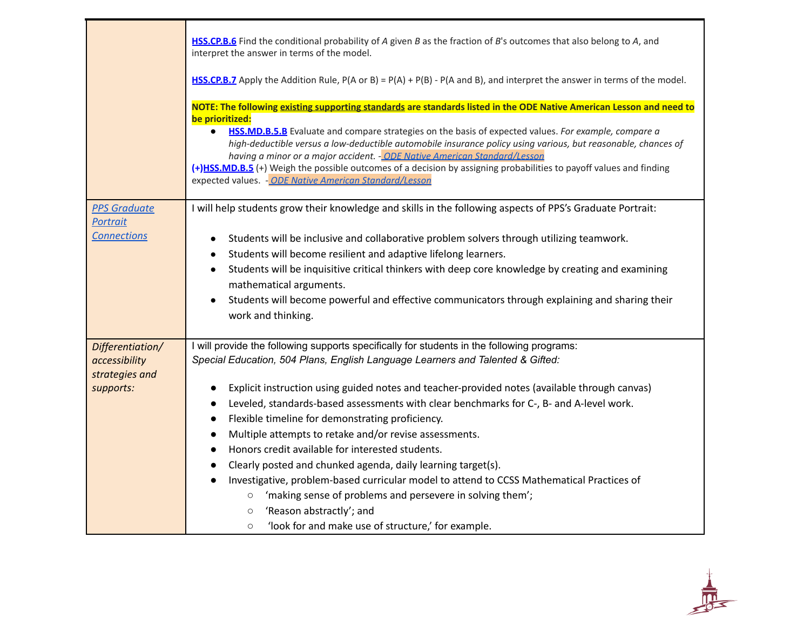|                                                                  | HSS.CP.B.6 Find the conditional probability of A given B as the fraction of B's outcomes that also belong to A, and<br>interpret the answer in terms of the model.<br><b>HSS.CP.B.7</b> Apply the Addition Rule, $P(A \text{ or } B) = P(A) + P(B) - P(A \text{ and } B)$ , and interpret the answer in terms of the model.                                                                                                                                                                                                                                                                                                                                                                                                                                                                                                                                                                                                                                                                    |
|------------------------------------------------------------------|------------------------------------------------------------------------------------------------------------------------------------------------------------------------------------------------------------------------------------------------------------------------------------------------------------------------------------------------------------------------------------------------------------------------------------------------------------------------------------------------------------------------------------------------------------------------------------------------------------------------------------------------------------------------------------------------------------------------------------------------------------------------------------------------------------------------------------------------------------------------------------------------------------------------------------------------------------------------------------------------|
|                                                                  | NOTE: The following existing supporting standards are standards listed in the ODE Native American Lesson and need to<br>be prioritized:<br>HSS.MD.B.5.B Evaluate and compare strategies on the basis of expected values. For example, compare a<br>$\bullet$<br>high-deductible versus a low-deductible automobile insurance policy using various, but reasonable, chances of<br>having a minor or a major accident. - ODE Native American Standard/Lesson<br>(+)HSS.MD.B.5 (+) Weigh the possible outcomes of a decision by assigning probabilities to payoff values and finding<br>expected values. - ODE Native American Standard/Lesson                                                                                                                                                                                                                                                                                                                                                    |
| <b>PPS Graduate</b><br>Portrait<br><b>Connections</b>            | I will help students grow their knowledge and skills in the following aspects of PPS's Graduate Portrait:<br>Students will be inclusive and collaborative problem solvers through utilizing teamwork.<br>$\bullet$<br>Students will become resilient and adaptive lifelong learners.<br>$\bullet$<br>Students will be inquisitive critical thinkers with deep core knowledge by creating and examining<br>$\bullet$<br>mathematical arguments.<br>Students will become powerful and effective communicators through explaining and sharing their<br>$\bullet$<br>work and thinking.                                                                                                                                                                                                                                                                                                                                                                                                            |
| Differentiation/<br>accessibility<br>strategies and<br>supports: | I will provide the following supports specifically for students in the following programs:<br>Special Education, 504 Plans, English Language Learners and Talented & Gifted:<br>Explicit instruction using guided notes and teacher-provided notes (available through canvas)<br>$\bullet$<br>Leveled, standards-based assessments with clear benchmarks for C-, B- and A-level work.<br>$\bullet$<br>Flexible timeline for demonstrating proficiency.<br>$\bullet$<br>Multiple attempts to retake and/or revise assessments.<br>$\bullet$<br>Honors credit available for interested students.<br>$\bullet$<br>Clearly posted and chunked agenda, daily learning target(s).<br>$\bullet$<br>Investigative, problem-based curricular model to attend to CCSS Mathematical Practices of<br>$\bullet$<br>'making sense of problems and persevere in solving them';<br>$\circ$<br>'Reason abstractly'; and<br>$\circlearrowright$<br>'look for and make use of structure,' for example.<br>$\circ$ |

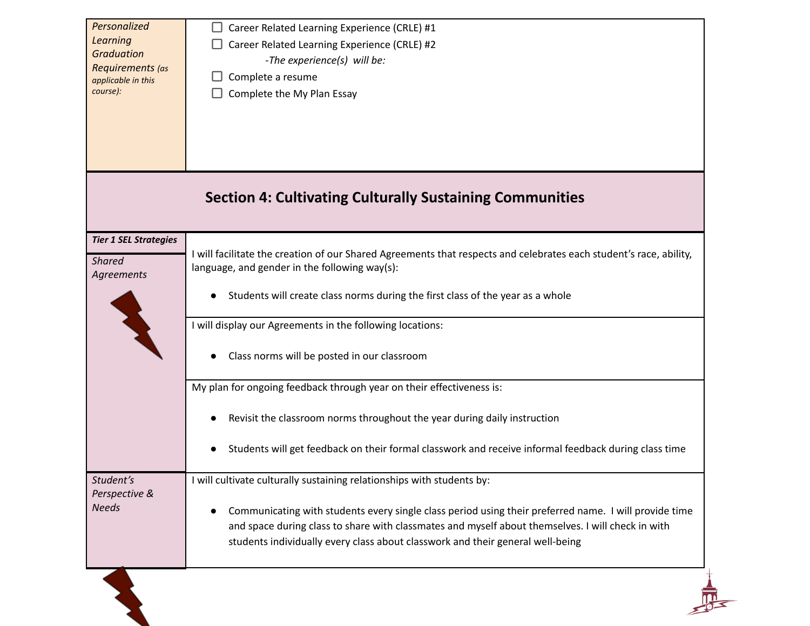| Personalized<br><b>Learning</b><br><b>Graduation</b><br>Requirements (as<br>applicable in this<br>course): | Career Related Learning Experience (CRLE) #1<br>Career Related Learning Experience (CRLE) #2<br>-The experience(s) will be:<br>Complete a resume<br>Complete the My Plan Essay                                                                                                                                                                                         |
|------------------------------------------------------------------------------------------------------------|------------------------------------------------------------------------------------------------------------------------------------------------------------------------------------------------------------------------------------------------------------------------------------------------------------------------------------------------------------------------|
|                                                                                                            | <b>Section 4: Cultivating Culturally Sustaining Communities</b>                                                                                                                                                                                                                                                                                                        |
| <b>Tier 1 SEL Strategies</b><br><b>Shared</b><br>Agreements                                                | I will facilitate the creation of our Shared Agreements that respects and celebrates each student's race, ability,<br>language, and gender in the following way(s):                                                                                                                                                                                                    |
|                                                                                                            | Students will create class norms during the first class of the year as a whole                                                                                                                                                                                                                                                                                         |
|                                                                                                            | I will display our Agreements in the following locations:<br>Class norms will be posted in our classroom                                                                                                                                                                                                                                                               |
|                                                                                                            | My plan for ongoing feedback through year on their effectiveness is:                                                                                                                                                                                                                                                                                                   |
|                                                                                                            | Revisit the classroom norms throughout the year during daily instruction                                                                                                                                                                                                                                                                                               |
|                                                                                                            | Students will get feedback on their formal classwork and receive informal feedback during class time                                                                                                                                                                                                                                                                   |
| Student's<br>Perspective &<br><b>Needs</b>                                                                 | I will cultivate culturally sustaining relationships with students by:<br>Communicating with students every single class period using their preferred name. I will provide time<br>and space during class to share with classmates and myself about themselves. I will check in with<br>students individually every class about classwork and their general well-being |
|                                                                                                            |                                                                                                                                                                                                                                                                                                                                                                        |

 $\mathbf{A}$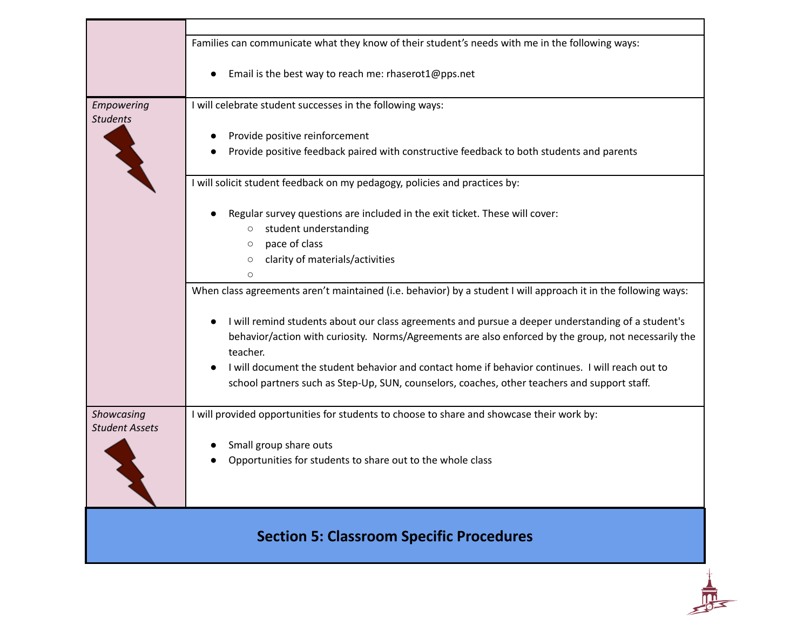|                                     | Families can communicate what they know of their student's needs with me in the following ways:                                                                                                                        |
|-------------------------------------|------------------------------------------------------------------------------------------------------------------------------------------------------------------------------------------------------------------------|
|                                     | Email is the best way to reach me: rhaserot1@pps.net                                                                                                                                                                   |
| Empowering<br><b>Students</b>       | I will celebrate student successes in the following ways:                                                                                                                                                              |
|                                     | Provide positive reinforcement                                                                                                                                                                                         |
|                                     | Provide positive feedback paired with constructive feedback to both students and parents                                                                                                                               |
|                                     | I will solicit student feedback on my pedagogy, policies and practices by:                                                                                                                                             |
|                                     | Regular survey questions are included in the exit ticket. These will cover:<br>student understanding<br>$\circ$                                                                                                        |
|                                     | pace of class<br>$\circlearrowright$                                                                                                                                                                                   |
|                                     | clarity of materials/activities<br>$\circ$                                                                                                                                                                             |
|                                     | $\circ$                                                                                                                                                                                                                |
|                                     | When class agreements aren't maintained (i.e. behavior) by a student I will approach it in the following ways:                                                                                                         |
|                                     | I will remind students about our class agreements and pursue a deeper understanding of a student's<br>behavior/action with curiosity. Norms/Agreements are also enforced by the group, not necessarily the<br>teacher. |
|                                     | I will document the student behavior and contact home if behavior continues. I will reach out to                                                                                                                       |
|                                     | school partners such as Step-Up, SUN, counselors, coaches, other teachers and support staff.                                                                                                                           |
| Showcasing<br><b>Student Assets</b> | I will provided opportunities for students to choose to share and showcase their work by:                                                                                                                              |
|                                     | Small group share outs                                                                                                                                                                                                 |
|                                     | Opportunities for students to share out to the whole class                                                                                                                                                             |
|                                     |                                                                                                                                                                                                                        |
|                                     | <b>Section 5: Classroom Specific Procedures</b>                                                                                                                                                                        |
|                                     |                                                                                                                                                                                                                        |
|                                     |                                                                                                                                                                                                                        |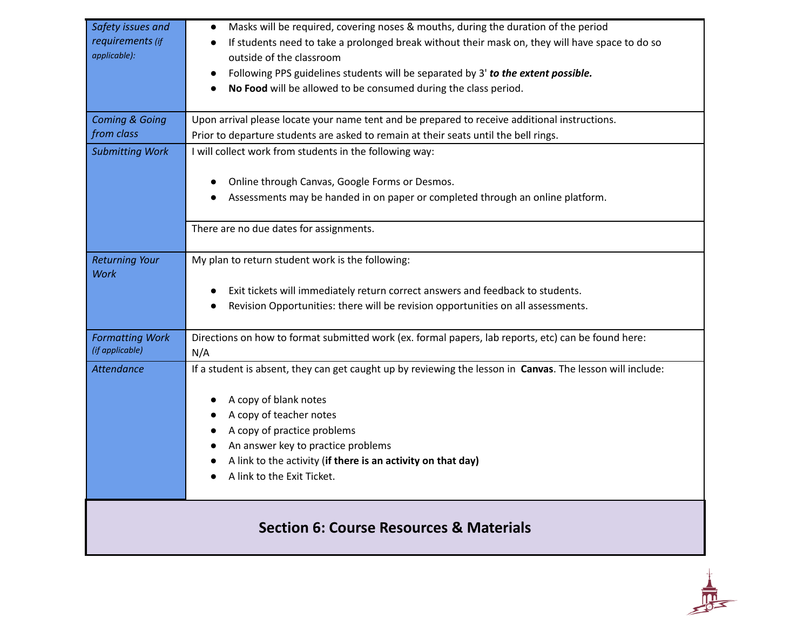| Safety issues and             | Masks will be required, covering noses & mouths, during the duration of the period                         |
|-------------------------------|------------------------------------------------------------------------------------------------------------|
| requirements (if              | If students need to take a prolonged break without their mask on, they will have space to do so            |
| applicable):                  | outside of the classroom                                                                                   |
|                               | Following PPS guidelines students will be separated by 3' to the extent possible.                          |
|                               | No Food will be allowed to be consumed during the class period.                                            |
|                               |                                                                                                            |
| <b>Coming &amp; Going</b>     | Upon arrival please locate your name tent and be prepared to receive additional instructions.              |
| from class                    | Prior to departure students are asked to remain at their seats until the bell rings.                       |
| <b>Submitting Work</b>        | I will collect work from students in the following way:                                                    |
|                               |                                                                                                            |
|                               | Online through Canvas, Google Forms or Desmos.                                                             |
|                               | Assessments may be handed in on paper or completed through an online platform.                             |
|                               |                                                                                                            |
|                               | There are no due dates for assignments.                                                                    |
|                               |                                                                                                            |
| <b>Returning Your</b><br>Work | My plan to return student work is the following:                                                           |
|                               | Exit tickets will immediately return correct answers and feedback to students.                             |
|                               | Revision Opportunities: there will be revision opportunities on all assessments.<br>$\bullet$              |
|                               |                                                                                                            |
| <b>Formatting Work</b>        | Directions on how to format submitted work (ex. formal papers, lab reports, etc) can be found here:        |
| (if applicable)               | N/A                                                                                                        |
| <b>Attendance</b>             | If a student is absent, they can get caught up by reviewing the lesson in Canvas. The lesson will include: |
|                               |                                                                                                            |
|                               | A copy of blank notes                                                                                      |
|                               | A copy of teacher notes                                                                                    |
|                               | A copy of practice problems<br>$\bullet$                                                                   |
|                               | An answer key to practice problems                                                                         |
|                               | A link to the activity (if there is an activity on that day)                                               |
|                               | A link to the Exit Ticket.                                                                                 |
|                               |                                                                                                            |
|                               | <b>Section 6: Course Resources &amp; Materials</b>                                                         |
|                               |                                                                                                            |

 $\frac{1}{\sqrt{1-\frac{1}{2}}\sqrt{1-\frac{1}{2}}\sqrt{1-\frac{1}{2}}\sqrt{1-\frac{1}{2}}\sqrt{1-\frac{1}{2}}\sqrt{1-\frac{1}{2}}\sqrt{1-\frac{1}{2}}\sqrt{1-\frac{1}{2}}\sqrt{1-\frac{1}{2}}\sqrt{1-\frac{1}{2}}\sqrt{1-\frac{1}{2}}\sqrt{1-\frac{1}{2}}\sqrt{1-\frac{1}{2}}\sqrt{1-\frac{1}{2}}\sqrt{1-\frac{1}{2}}\sqrt{1-\frac{1}{2}}\sqrt{1-\frac{1}{2}}\sqrt{1-\frac{1}{2}}\sqrt{1-\frac{1}{2}}\sqrt{1-\frac$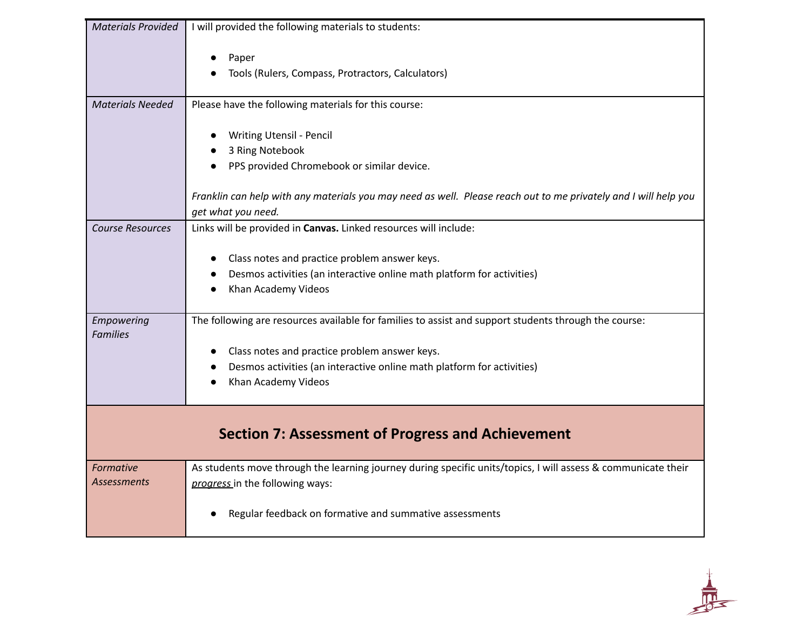| <b>Materials Provided</b>       | I will provided the following materials to students:                                                                                                                                                                                                    |
|---------------------------------|---------------------------------------------------------------------------------------------------------------------------------------------------------------------------------------------------------------------------------------------------------|
|                                 | Paper<br>Tools (Rulers, Compass, Protractors, Calculators)                                                                                                                                                                                              |
| <b>Materials Needed</b>         | Please have the following materials for this course:                                                                                                                                                                                                    |
|                                 | <b>Writing Utensil - Pencil</b><br>3 Ring Notebook<br>PPS provided Chromebook or similar device.                                                                                                                                                        |
|                                 | Franklin can help with any materials you may need as well. Please reach out to me privately and I will help you<br>get what you need.                                                                                                                   |
| <b>Course Resources</b>         | Links will be provided in Canvas. Linked resources will include:<br>Class notes and practice problem answer keys.<br>Desmos activities (an interactive online math platform for activities)<br>Khan Academy Videos                                      |
| Empowering<br><b>Families</b>   | The following are resources available for families to assist and support students through the course:<br>Class notes and practice problem answer keys.<br>Desmos activities (an interactive online math platform for activities)<br>Khan Academy Videos |
|                                 | <b>Section 7: Assessment of Progress and Achievement</b>                                                                                                                                                                                                |
| Formative<br><b>Assessments</b> | As students move through the learning journey during specific units/topics, I will assess & communicate their<br>progress in the following ways:                                                                                                        |
|                                 | Regular feedback on formative and summative assessments                                                                                                                                                                                                 |

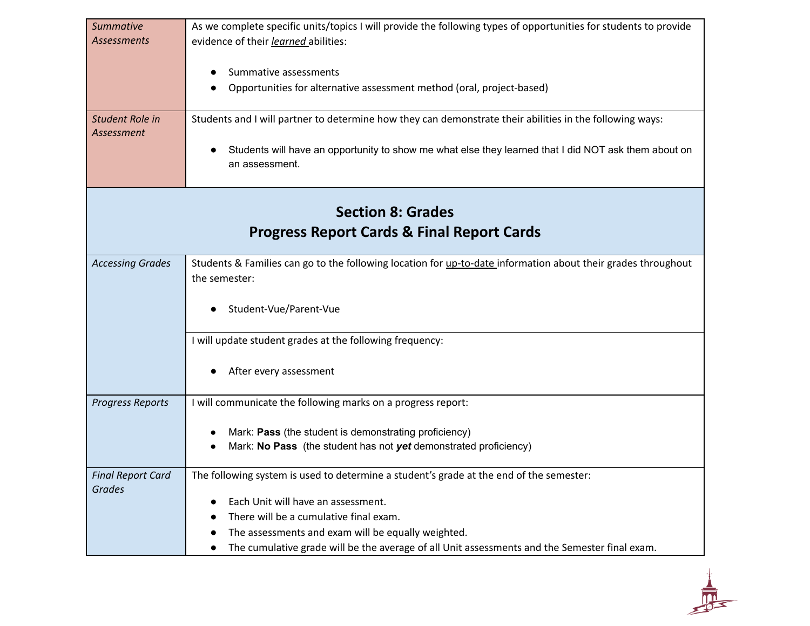| <b>Summative</b><br><b>Assessments</b>    | As we complete specific units/topics I will provide the following types of opportunities for students to provide<br>evidence of their learned abilities: |
|-------------------------------------------|----------------------------------------------------------------------------------------------------------------------------------------------------------|
|                                           | Summative assessments<br>Opportunities for alternative assessment method (oral, project-based)                                                           |
| Student Role in<br>Assessment             | Students and I will partner to determine how they can demonstrate their abilities in the following ways:                                                 |
|                                           | Students will have an opportunity to show me what else they learned that I did NOT ask them about on<br>an assessment.                                   |
|                                           | <b>Section 8: Grades</b>                                                                                                                                 |
|                                           | <b>Progress Report Cards &amp; Final Report Cards</b>                                                                                                    |
| <b>Accessing Grades</b>                   | Students & Families can go to the following location for up-to-date information about their grades throughout<br>the semester:                           |
|                                           | Student-Vue/Parent-Vue                                                                                                                                   |
|                                           | I will update student grades at the following frequency:                                                                                                 |
|                                           | After every assessment                                                                                                                                   |
| <b>Progress Reports</b>                   | I will communicate the following marks on a progress report:                                                                                             |
|                                           | Mark: Pass (the student is demonstrating proficiency)                                                                                                    |
|                                           | Mark: No Pass (the student has not yet demonstrated proficiency)                                                                                         |
| <b>Final Report Card</b><br><b>Grades</b> | The following system is used to determine a student's grade at the end of the semester:                                                                  |
|                                           | Each Unit will have an assessment.                                                                                                                       |
|                                           | There will be a cumulative final exam.                                                                                                                   |
|                                           | The assessments and exam will be equally weighted.                                                                                                       |
|                                           | The cumulative grade will be the average of all Unit assessments and the Semester final exam.<br>$\bullet$                                               |